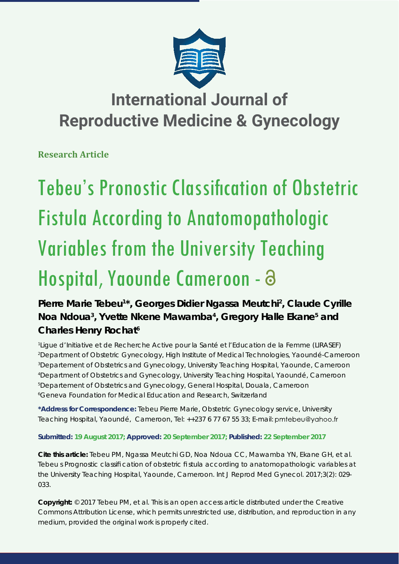

## **International Journal of Reproductive Medicine & Gynecology**

**Research Article**

# Tebeu's Pronostic Classification of Obstetric Fistula According to Anatomopathologic Variables from the University Teaching Hospital, Yaounde Cameroon -

### Pierre Marie Tebeu<sup>1\*</sup>, Georges Didier Ngassa Meutchi<sup>2</sup>, Claude Cyrille Noa Ndoua<sup>3</sup>, Yvette Nkene Mawamba<sup>4</sup>, Gregory Halle Ekane<sup>5</sup> and **Charles Henry Rochat6**

 *Ligue d'Initiative et de Recherche Active pour la Santé et l'Education de la Femme (LIRASEF) Department of Obstetric Gynecology, High Institute of Medical Technologies, Yaoundé-Cameroon Departement of Obstetrics and Gynecology, University Teaching Hospital, Yaounde, Cameroon Department of Obstetrics and Gynecology, University Teaching Hospital, Yaoundé, Cameroon Departement of Obstetrics and Gynecology, General Hospital, Douala, Cameroon Geneva Foundation for Medical Education and Research, Switzerland*

**\*Address for Correspondence:** Tebeu Pierre Marie, Obstetric Gynecology service, University Teaching Hospital, Yaoundé, Cameroon, Tel: ++237 6 77 67 55 33; E-mail: pmtebeu@yahoo.fr

**Submitted: 19 August 2017; Approved: 20 September 2017; Published: 22 September 2017**

**Cite this article:** Tebeu PM, Ngassa Meutchi GD, Noa Ndoua CC, Mawamba YN, Ekane GH, et al. Tebeu s Prognostic classifi cation of obstetric fi stula according to anatomopathologic variables at the University Teaching Hospital, Yaounde, Cameroon. Int J Reprod Med Gynecol. 2017;3(2): 029- 033.

**Copyright:** © 2017 Tebeu PM, et al. This is an open access article distributed under the Creative Commons Attribution License, which permits unrestricted use, distribution, and reproduction in any medium, provided the original work is properly cited.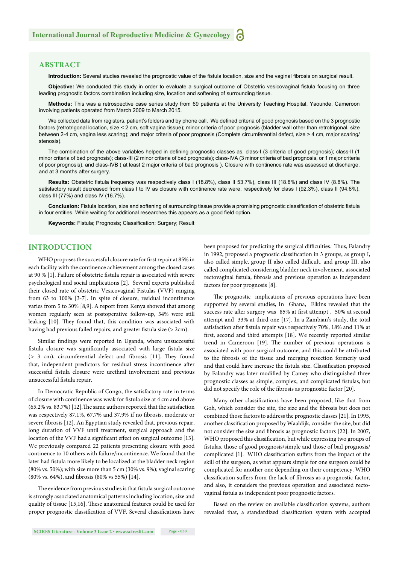#### **ABSTRACT**

Introduction: Several studies revealed the prognostic value of the fistula location, size and the vaginal fibrosis on surgical result.

**Objective:** We conducted this study in order to evaluate a surgical outcome of Obstetric vesicovaginal fistula focusing on three leading prognostic factors combination including size, location and softening of surrounding tissue.

**Methods:** This was a retrospective case series study from 69 patients at the University Teaching Hospital, Yaounde, Cameroon involving patients operated from March 2009 to March 2015.

We collected data from registers, patient's folders and by phone call. We defined criteria of good prognosis based on the 3 prognostic factors (retrotrigonal location, size < 2 cm, soft vagina tissue); minor criteria of poor prognosis (bladder wall other than retrotrigonal, size between 2-4 cm, vagina less scaring); and major criteria of poor prognosis (Complete circumferential defect, size > 4 cm, major scaring/ stenosis).

The combination of the above variables helped in defining prognostic classes as, class-I (3 criteria of good prognosis); class-II (1 minor criteria of bad prognosis); class-III (2 minor criteria of bad prognosis); class-IVA (3 minor criteria of bad prognosis, or 1 major criteria of poor prognosis), and class-IVB ( at least 2 major criteria of bad prognosis ). Closure with continence rate was assessed at discharge, and at 3 months after surgery.

**Results:** Obstetric fistula frequency was respectively class I (18.8%), class II 53.7%), class III (18.8%) and class IV (8.8%). The satisfactory result decreased from class I to IV as closure with continence rate were, respectively for class I (92.3%), class II (94.6%), class III (77%) and class IV (16.7%).

Conclusion: Fistula location, size and softening of surrounding tissue provide a promising prognostic classification of obstetric fistula in four entities. While waiting for additional researches this appears as a good field option.

Keywords: Fistula; Prognosis; Classification; Surgery; Result

#### **INTRODUCTION**

WHO proposes the successful closure rate for first repair at 85% in each facility with the continence achievement among the closed cases at 90 % [1]. Failure of obstetric fistula repair is associated with severe psychological and social implications [2]. Several experts published their closed rate of obstetric Vesicovaginal Fistulas (VVF) ranging from 63 to 100% [3-7]. In spite of closure, residual incontinence varies from 5 to 30% [8,9]. A report from Kenya showed that among women regularly seen at postoperative follow-up, 54% were still leaking [10]. They found that, this condition was associated with having had previous failed repairs, and greater fistula size (> 2cm).

Similar findings were reported in Uganda, where unsuccessful fistula closure was significantly associated with large fistula size  $(> 3 cm)$ , circumferential defect and fibrosis [11]. They found that, independent predictors for residual stress incontinence after successful fistula closure were urethral involvement and previous unsuccessful fistula repair.

In Democratic Republic of Congo, the satisfactory rate in terms of closure with continence was weak for fistula size at 4 cm and above  $(65.2\% \text{ vs. } 83.7\%)$  [12]. The same authors reported that the satisfaction was respectively 87.1%, 67.7% and 37.9% if no fibrosis, moderate or severe fibrosis [12]. An Egyptian study revealed that, previous repair, long duration of VVF until treatment, surgical approach and the location of the VVF had a significant effect on surgical outcome [13]. We previously compared 22 patients presenting closure with good continence to 10 others with failure/incontinence. We found that the later had fistula more likely to be localized at the bladder neck region (80% vs. 50%); with size more than 5 cm (30% vs. 9%); vaginal scaring (80% vs. 64%), and fibrosis (80% vs 55%) [14].

The evidence from previous studies is that fistula surgical outcome is strongly associated anatomical patterns including location, size and quality of tissue [15,16]. These anatomical features could be used for proper prognostic classification of VVF. Several classifications have been proposed for predicting the surgical difficulties. Thus, Falandry in 1992, proposed a prognostic classification in 3 groups, as group I, also called simple, group II also called difficult, and group III, also called complicated considering bladder neck involvement, associated rectovaginal fistula, fibrosis and previous operation as independent factors for poor prognosis [8].

The prognostic implications of previous operations have been supported by several studies, In Ghana, Elkins revealed that the success rate after surgery was 85% at first attempt, 50% at second attempt and 33% at third one [17]. In a Zambian's study, the total satisfaction after fistula repair was respectively 70%, 18% and 11% at first, second and third attempts [18]. We recently reported similar trend in Cameroon [19]. The number of previous operations is associated with poor surgical outcome, and this could be attributed to the fibrosis of the tissue and merging resection formerly used and that could have increase the fistula size. Classification proposed by Falandry was later modified by Camey who distinguished three prognostic classes as simple, complex, and complicated fistulas, but did not specify the role of the fibrosis as prognostic factor [20].

Many other classifications have been proposed, like that from Goh, which consider the site, the size and the fibrosis but does not combined those factors to address the prognostic classes [21]. In 1995, another classification proposed by Waaldijk, consider the site, but did not consider the size and fibrosis as prognostic factors [22]. In 2007, WHO proposed this classification, but while expressing two groups of fistulas, those of good prognosis/simple and those of bad prognosis/ complicated [1]. WHO classification suffers from the impact of the skill of the surgeon, as what appears simple for one surgeon could be complicated for another one depending on their competency. WHO classification suffers from the lack of fibrosis as a prognostic factor, and also, it considers the previous operation and associated rectovaginal fistula as independent poor prognostic factors.

Based on the review on available classification systems, authors revealed that, a standardized classification system with accepted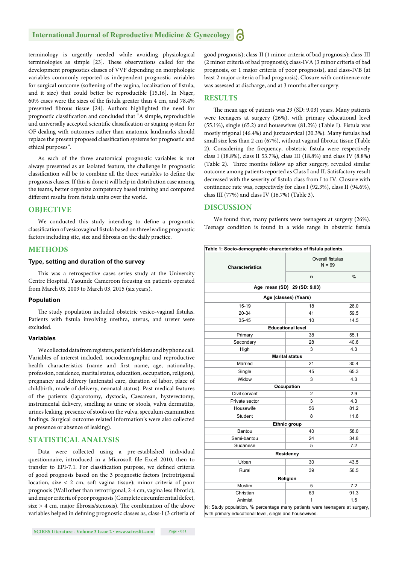#### **International Journal of Reproductive Medicine & Gynecology**

terminology is urgently needed while avoiding physiological terminologies as simple [23]. These observations called for the development prognostics classes of VVF depending on morphologic variables commonly reported as independent prognostic variables for surgical outcome (softening of the vagina, localization of fistula, and it size) that could better be reproducible [15,16]. In Niger, 60% cases were the sizes of the fistula greater than 4 cm, and 78.4% presented fibrous tissue [24]. Authors highlighted the need for prognostic classification and concluded that "A simple, reproducible and universally accepted scientific classification or staging system for OF dealing with outcomes rather than anatomic landmarks should replace the present proposed classification systems for prognostic and ethical purposes".

As each of the three anatomical prognostic variables is not always presented as an isolated feature, the challenge in prognostic classification will be to combine all the three variables to define the prognosis classes. If this is done it will help in distribution case among the teams, better organize competency based training and compared different results from fistula units over the world.

#### **OBJECTIVE**

We conducted this study intending to define a prognostic classification of vesicovaginal fistula based on three leading prognostic factors including site, size and fibrosis on the daily practice.

#### **METHODS**

#### **Type, setting and duration of the survey**

This was a retrospective cases series study at the University Centre Hospital, Yaounde Cameroon focusing on patients operated from March 03, 2009 to March 03, 2015 (six years).

#### **Population**

The study population included obstetric vesico-vaginal fistulas. Patients with fistula involving urethra, uterus, and ureter were excluded.

#### **Variables**

We collected data from registers, patient's folders and by phone call. Variables of interest included, sociodemographic and reproductive health characteristics (name and first name, age, nationality, profession, residence, marital status, education, occupation, religion), pregnancy and delivery (antenatal care, duration of labor, place of childbirth, mode of delivery, neonatal status). Past medical features of the patients (laparotomy, dystocia, Caesarean, hysterectomy, instrumental delivery, smelling as urine or stools, vulva dermatitis, urines leaking, presence of stools on the vulva, speculum examination findings. Surgical outcome related information's were also collected as presence or absence of leaking).

#### **STATISTICAL ANALYSIS**

Data were collected using a pre-established individual questionnaire, introduced in a Microsoft file Excel 2010, then to transfer to EPI-7.1. For classification purpose, we defined criteria of good prognosis based on the 3 prognostic factors (retrotrigonal location, size < 2 cm, soft vagina tissue); minor criteria of poor prognosis (Wall other than retrotrigonal, 2-4 cm, vagina less fibrotic); and major criteria of poor prognosis (Complete circumferential defect,  $size > 4$  cm, major fibrosis/stenosis). The combination of the above variables helped in defining prognostic classes as, class-I (3 criteria of

good prognosis); class-II (1 minor criteria of bad prognosis); class-III (2 minor criteria of bad prognosis); class-IVA (3 minor criteria of bad prognosis, or 1 major criteria of poor prognosis), and class-IVB (at least 2 major criteria of bad prognosis). Closure with continence rate was assessed at discharge, and at 3 months after surgery.

#### **RESULTS**

The mean age of patients was 29 (SD: 9.03) years. Many patients were teenagers at surgery (26%), with primary educational level (55.1%), single (65.2) and housewives (81.2%) (Table I). Fistula was mostly trigonal (46.4%) and juxtacervical (20.3%). Many fistulas had small size less than 2 cm (67%), without vaginal fibrotic tissue (Table 2). Considering the frequency, obstetric fistula were respectively class I (18.8%), class II 53.7%), class III (18.8%) and class IV (8.8%) (Table 2). Three months follow up after surgery, revealed similar outcome among patients reported as Class I and II. Satisfactory result decreased with the severity of fistula class from I to IV. Closure with continence rate was, respectively for class I (92.3%), class II (94.6%), class III (77%) and class IV (16.7%) (Table 3).

#### **DISCUSSION**

We found that, many patients were teenagers at surgery (26%). Teenage condition is found in a wide range in obstetric fistula

| Table 1: Socio-demographic characteristics of fistula patients. |                          |                              |  |  |  |  |
|-----------------------------------------------------------------|--------------------------|------------------------------|--|--|--|--|
| <b>Characteristics</b>                                          |                          | Overall fistulas<br>$N = 69$ |  |  |  |  |
|                                                                 | n                        | $\frac{0}{0}$                |  |  |  |  |
| Age mean (SD) 29 (SD: 9.03)                                     |                          |                              |  |  |  |  |
| Age (classes) (Years)                                           |                          |                              |  |  |  |  |
| $15 - 19$                                                       | 18                       | 26.0                         |  |  |  |  |
| 20-34                                                           | 41                       | 59.5                         |  |  |  |  |
| 35-45                                                           | 10                       | 14.5                         |  |  |  |  |
|                                                                 | <b>Educational level</b> |                              |  |  |  |  |
| Primary                                                         | 38                       | 55.1                         |  |  |  |  |
| Secondary                                                       | 28                       | 40.6                         |  |  |  |  |
| High                                                            | 3                        | 4.3                          |  |  |  |  |
|                                                                 | <b>Marital status</b>    |                              |  |  |  |  |
| Married                                                         | 21                       | 30.4                         |  |  |  |  |
| Single                                                          | 45                       | 65.3                         |  |  |  |  |
| Widow                                                           | 3                        | 4.3                          |  |  |  |  |
|                                                                 | Occupation               |                              |  |  |  |  |
| Civil servant                                                   | $\overline{2}$           | 2.9                          |  |  |  |  |
| Private sector                                                  | 3                        | 4.3                          |  |  |  |  |
| Housewife                                                       | 56                       | 81.2                         |  |  |  |  |
| Student                                                         | 8                        | 11.6                         |  |  |  |  |
|                                                                 | <b>Ethnic group</b>      |                              |  |  |  |  |
| Bantou                                                          | 40                       | 58.0                         |  |  |  |  |
| Semi-bantou                                                     | 24                       | 34.8                         |  |  |  |  |
| Sudanese                                                        | 5                        | 7.2                          |  |  |  |  |
|                                                                 | Residency                |                              |  |  |  |  |
| Urban                                                           | 30                       | 43.5                         |  |  |  |  |
| Rural                                                           | 39                       | 56.5                         |  |  |  |  |
|                                                                 | Religion                 |                              |  |  |  |  |
| Muslim                                                          | 5                        | 7.2                          |  |  |  |  |
| Christian                                                       | 63                       | 91.3                         |  |  |  |  |
| Animist                                                         | 1                        | 1.5                          |  |  |  |  |

with primary educational level, single and housewives.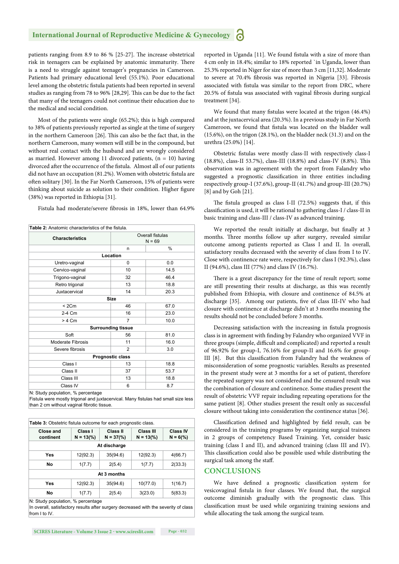#### **International Journal of Reproductive Medicine & Gynecology**

patients ranging from 8.9 to 86 % [25-27]. The increase obstetrical risk in teenagers can be explained by anatomic immaturity. There is a need to struggle against teenager's pregnancies in Cameroon. Patients had primary educational level (55.1%). Poor educational level among the obstetric fistula patients had been reported in several studies as ranging from 78 to 96% [28,29]. This can be due to the fact that many of the teenagers could not continue their education due to the medical and social condition.

Most of the patients were single (65.2%); this is high compared to 38% of patients previously reported as single at the time of surgery in the northern Cameroon [26]. This can also be the fact that, in the northern Cameroon, many women will still be in the compound, but without real contact with the husband and are wrongly considered as married. However among 11 divorced patients,  $(n = 10)$  having divorced after the occurrence of the fistula. Almost all of our patients did not have an occupation (81.2%). Women with obstetric fistula are often solitary [30]. In the Far North Cameroon, 15% of patients were thinking about suicide as solution to their condition. Higher figure (38%) was reported in Ethiopia [31].

Fistula had moderate/severe fibrosis in 18%, lower than 64.9%

| Overall fistulas<br>$N = 69$ |      |  |  |  |  |  |
|------------------------------|------|--|--|--|--|--|
| n                            | %    |  |  |  |  |  |
| Location                     |      |  |  |  |  |  |
| $\Omega$                     | 0.0  |  |  |  |  |  |
| 10                           | 14.5 |  |  |  |  |  |
| 32                           | 46.4 |  |  |  |  |  |
| 13                           | 18.8 |  |  |  |  |  |
| 14                           | 20.3 |  |  |  |  |  |
| <b>Size</b>                  |      |  |  |  |  |  |
| 46                           | 67.0 |  |  |  |  |  |
| 16                           | 23.0 |  |  |  |  |  |
| $\overline{7}$               | 10.0 |  |  |  |  |  |
| <b>Surrounding tissue</b>    |      |  |  |  |  |  |
| 56                           | 81.0 |  |  |  |  |  |
| 11                           | 16.0 |  |  |  |  |  |
| $\overline{2}$               | 3.0  |  |  |  |  |  |
| Prognostic class             |      |  |  |  |  |  |
| 13                           | 18.8 |  |  |  |  |  |
| 37                           | 53.7 |  |  |  |  |  |
| 13                           | 18.8 |  |  |  |  |  |
| 6                            | 8.7  |  |  |  |  |  |
|                              |      |  |  |  |  |  |

N: Study population, % percentage

Fistula were mostly trigonal and juxtacervical. Many fistulas had small size less than 2 cm without vaginal fibrotic tissue.

| <b>Table 3:</b> Obstetric fistula outcome for each prognostic class. |                                |                          |                                  |                               |  |  |
|----------------------------------------------------------------------|--------------------------------|--------------------------|----------------------------------|-------------------------------|--|--|
| Close and<br>continent                                               | Class I<br>$N = 13\frac{9}{6}$ | Class II<br>$N = 37(% )$ | Class III<br>$N = 13\frac{9}{6}$ | <b>Class IV</b><br>$N = 6(%)$ |  |  |
| At discharge                                                         |                                |                          |                                  |                               |  |  |
| Yes                                                                  | 12(92.3)                       | 35(94.6)                 | 12(92.3)                         | 4(66.7)                       |  |  |
| No                                                                   | 1(7.7)                         | 2(5.4)                   | 1(7.7)                           | 2(33.3)                       |  |  |
| At 3 months                                                          |                                |                          |                                  |                               |  |  |
| Yes                                                                  | 12(92.3)                       | 35(94.6)                 | 10(77.0)                         | 1(16.7)                       |  |  |
| No                                                                   | 1(7.7)                         | 2(5.4)                   | 3(23.0)                          | 5(83.3)                       |  |  |

N: Study population, % percentage

In overall, satisfactory results after surgery decreased with the severity of class from I to IV.

reported in Uganda [11]. We found fistula with a size of more than 4 cm only in 18.4%; similar to 18% reported `in Uganda, lower than 25.3% reported in Niger for size of more than 3 cm [11,32]. Moderate to severe at 70.4% fibrosis was reported in Nigeria [33]. Fibrosis associated with fistula was similar to the report from DRC, where 20.5% of fistula was associated with vaginal fibrosis during surgical treatment [34].

We found that many fistulas were located at the trigon (46.4%) and at the juxtacervical area (20.3%). In a previous study in Far North Cameroon, we found that fistula was located on the bladder wall (15.6%), on the trigon (28.1%), on the bladder neck (31.3) and on the urethra (25.0%) [14].

Obstetric fistulas were mostly class-II with respectively class-I (18.8%), class-II 53.7%), class-III (18.8%) and class-IV (8.8%). This observation was in agreement with the report from Falandry who suggested a prognostic classification in three entities including respectively group-I (37.6%), group-II (41.7%) and group-III (20.7%) [8] and by Goh [21].

The fistula grouped as class I-II (72.5%) suggests that, if this classification is used, it will be rational to gathering class-I / class-II in basic training and class-III / class-IV as advanced training.

We reported the result initially at discharge, but finally at 3 months. Three months follow up after surgery, revealed similar outcome among patients reported as Class I and II. In overall, satisfactory results decreased with the severity of class from I to IV. Close with continence rate were, respectively for class I (92.3%), class II (94.6%), class III (77%) and class IV (16.7%).

There is a great discrepancy for the time of result report; some are still presenting their results at discharge, as this was recently published from Ethiopia, with closure and continence of 84.5% at discharge [35]. Among our patients, five of class III-IV who had closure with continence at discharge didn't at 3 months meaning the results should not be concluded before 3 months.

Decreasing satisfaction with the increasing in fistula prognosis class is in agreement with finding by Falandry who organized VVF in three groups (simple, difficult and complicated) and reported a result of 96.92% for group-I, 76.16% for group-II and 16.6% for group-III [8]. But this classification from Falandry had the weakness of misconsideration of some prognostic variables. Results as presented in the present study were at 3 months for a set of patient, therefore the repeated surgery was not considered and the censured result was the combination of closure and continence. Some studies present the result of obstetric VVF repair including repeating operations for the same patient [8]. Other studies present the result only as successful closure without taking into consideration the continence status [36].

Classification defined and highlighted by field result, can be considered in the training programs by organizing surgical trainees in 2 groups of competency Based Training. Yet, consider basic training (class I and II), and advanced training (class III and IV). This classification could also be possible used while distributing the surgical task among the staff.

#### **CONCLUSIONS**

We have defined a prognostic classification system for vesicovaginal fistula in four classes. We found that, the surgical outcome diminish gradually with the prognostic class. This classification must be used while organizing training sessions and while allocating the task among the surgical team.